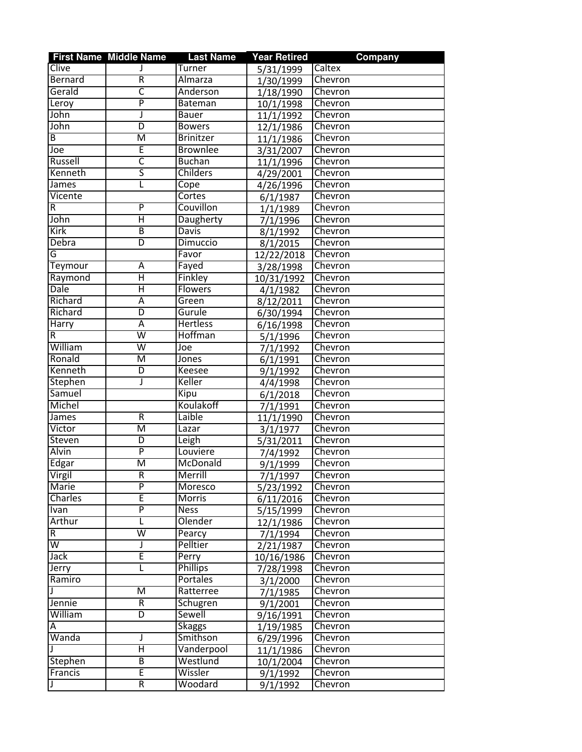|                         | <b>First Name Middle Name</b> | <b>Last Name</b>        | <b>Year Retired</b> | <b>Company</b> |
|-------------------------|-------------------------------|-------------------------|---------------------|----------------|
| Clive                   | J                             | <b>Turner</b>           | 5/31/1999           | Caltex         |
| Bernard                 | $\overline{\mathsf{R}}$       | Almarza                 | 1/30/1999           | Chevron        |
| Gerald                  | $\overline{\mathsf{C}}$       | Anderson                | 1/18/1990           | Chevron        |
| Leroy                   | $\overline{\mathsf{P}}$       | Bateman                 | 10/1/1998           | Chevron        |
| John                    | J                             | <b>Bauer</b>            | 11/1/1992           | Chevron        |
| John                    | $\overline{\mathtt{D}}$       | <b>Bowers</b>           | 12/1/1986           | Chevron        |
| B                       | $\overline{\mathsf{M}}$       | <b>Brinitzer</b>        | 11/1/1986           | Chevron        |
| Joe                     | Ē                             | <b>Brownlee</b>         | 3/31/2007           | Chevron        |
| Russell                 | $\overline{\mathsf{C}}$       | <b>Buchan</b>           | 11/1/1996           | Chevron        |
| Kenneth                 | $\overline{\mathsf{s}}$       | Childers                | 4/29/2001           | Chevron        |
| James                   | L                             | Cope                    | 4/26/1996           | Chevron        |
| Vicente                 |                               | Cortes                  | 6/1/1987            | Chevron        |
| R                       | $\overline{P}$                | Couvillon               | 1/1/1989            | Chevron        |
| John                    | Ή                             | Daugherty               | 7/1/1996            | Chevron        |
| Kirk                    | $\overline{B}$                | Davis                   | 8/1/1992            | Chevron        |
| Debra                   | D                             | Dimuccio                | 8/1/2015            | Chevron        |
| G                       |                               | Favor                   | 12/22/2018          | Chevron        |
| <b>Teymour</b>          | Α                             | Fayed                   | 3/28/1998           | Chevron        |
| Raymond                 | Ή                             | Finkley                 | 10/31/1992          | Chevron        |
| Dale                    | Η                             | <b>Flowers</b>          | 4/1/1982            | Chevron        |
| Richard                 | Ā                             | Green                   | 8/12/2011           | Chevron        |
| Richard                 | D                             | Gurule                  | 6/30/1994           | Chevron        |
| <b>Harry</b>            | Α                             | <b>Hertless</b>         | 6/16/1998           | Chevron        |
| $\overline{R}$          | $\overline{\mathsf{w}}$       | Hoffman                 | 5/1/1996            | Chevron        |
| William                 | $\overline{\mathsf{w}}$       | Joe                     |                     | Chevron        |
| Ronald                  | $\overline{\mathsf{M}}$       | Jones                   | 7/1/1992            | Chevron        |
|                         | $\overline{\mathsf{D}}$       |                         | 6/1/1991            |                |
| Kenneth                 |                               | <b>Keesee</b><br>Keller | 9/1/1992            | Chevron        |
| Stephen                 | J                             |                         | 4/4/1998            | Chevron        |
| Samuel<br>Michel        |                               | Kipu                    | 6/1/2018            | Chevron        |
|                         | R                             | Koulakoff<br>Laible     | 7/1/1991            | Chevron        |
| James                   |                               |                         | 11/1/1990           | Chevron        |
| Victor                  | $\overline{\mathsf{M}}$       | Lazar                   | 3/1/1977            | Chevron        |
| Steven                  | D                             | Leigh                   | 5/31/2011           | Chevron        |
| <b>Alvin</b>            | $\overline{\mathsf{P}}$       | Louviere                | 7/4/1992            | Chevron        |
| Edgar                   | $\overline{\mathsf{M}}$       | McDonald                | 9/1/1999            | Chevron        |
| Virgil                  | R                             | Merrill                 | 7/1/1997            | Chevron        |
| Marie                   | $\overline{P}$                | Moresco                 | 5/23/1992           | Chevron        |
| Charles                 | E                             | <b>Morris</b>           | 6/11/2016           | Chevron        |
| Ivan                    | P                             | <b>Ness</b>             | 5/15/1999           | Chevron        |
| Arthur                  | L                             | Olender                 | 12/1/1986           | Chevron        |
| R                       | $\overline{\mathsf{W}}$       | Pearcy                  | 7/1/1994            | Chevron        |
| $\overline{\mathsf{W}}$ | J                             | Pelltier                | 2/21/1987           | Chevron        |
| <b>Jack</b>             | E                             | Perry                   | 10/16/1986          | Chevron        |
| Jerry                   | L                             | <b>Phillips</b>         | 7/28/1998           | Chevron        |
| Ramiro                  |                               | <b>Portales</b>         | 3/1/2000            | Chevron        |
|                         | $\overline{\mathsf{M}}$       | Ratterree               | 7/1/1985            | Chevron        |
| Jennie                  | R                             | Schugren                | 9/1/2001            | Chevron        |
| William                 | D                             | Sewell                  | 9/16/1991           | Chevron        |
| А                       |                               | <b>Skaggs</b>           | 1/19/1985           | Chevron        |
| Wanda                   | J                             | Smithson                | 6/29/1996           | Chevron        |
|                         | Η                             | Vanderpool              | 11/1/1986           | Chevron        |
| Stephen                 | $\overline{B}$                | Westlund                | 10/1/2004           | Chevron        |
| Francis                 | Ē                             | Wissler                 | 9/1/1992            | Chevron        |
| J                       | $\overline{R}$                | Woodard                 | 9/1/1992            | Chevron        |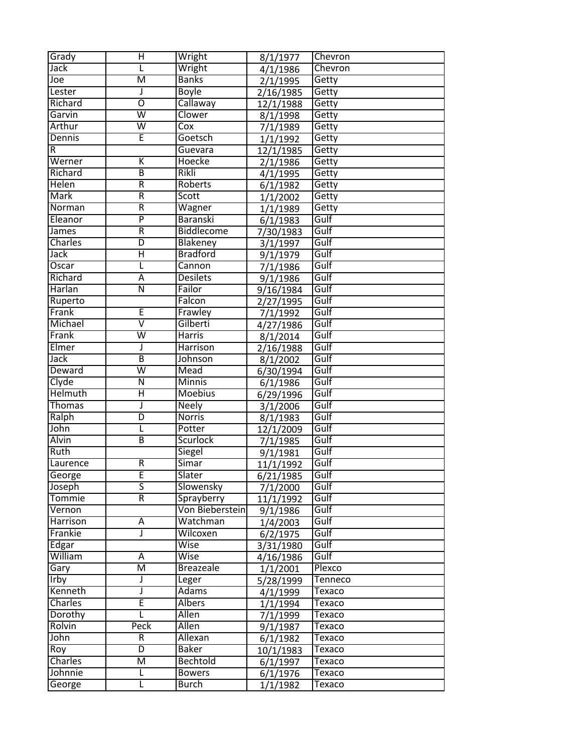| Grady                   | н                                                  | Wright            | 8/1/1977              | Chevron        |
|-------------------------|----------------------------------------------------|-------------------|-----------------------|----------------|
| <b>Jack</b>             |                                                    | Wright            | 4/1/1986              | Chevron        |
| Joe                     | $\overline{\mathsf{M}}$                            | <b>Banks</b>      | 2/1/1995              | Getty          |
| Lester                  | J                                                  | <b>Boyle</b>      | 2/16/1985             | Getty          |
| Richard                 | $\overline{0}$                                     | Callaway          | 12/1/1988             | Getty          |
| Garvin                  | $\overline{\mathsf{w}}$                            | Clower            | 8/1/1998              | Getty          |
| Arthur                  | W                                                  | Сох               | 7/1/1989              | Getty          |
| Dennis                  | Ē                                                  | Goetsch           | 1/1/1992              | Getty          |
| R                       |                                                    | Guevara           | 12/1/1985             | Getty          |
| Werner                  | Κ                                                  | <b>Hoecke</b>     | 2/1/1986              | Getty          |
| Richard                 | $\overline{B}$                                     | Rikli             | $\frac{1}{4/1}$ /1995 | Getty          |
| Helen                   | R                                                  | Roberts           | 6/1/1982              | Getty          |
| <b>Mark</b>             | $\overline{R}$                                     | Scott             | 1/1/2002              | Getty          |
| Norman                  | $\overline{R}$                                     | Wagner            | 1/1/1989              | Getty          |
| Eleanor                 | P                                                  | <b>Baranski</b>   | 6/1/1983              | Gulf           |
| James                   | $\overline{R}$                                     | <b>Biddlecome</b> | 7/30/1983             | Gulf           |
| Charles                 | $\overline{D}$                                     | Blakeney          | 3/1/1997              | Gulf           |
| Jack                    | Ή                                                  | <b>Bradford</b>   | 9/1/1979              | Gulf           |
| Oscar                   | L                                                  | Cannon            | 7/1/1986              | Gulf           |
| Richard                 | Α                                                  | <b>Desilets</b>   | 9/1/1986              | Gulf           |
| Harlan                  | Ñ                                                  | Failor            | 9/16/1984             | Gulf           |
| Ruperto                 |                                                    | Falcon            | 2/27/1995             | Gulf           |
| Frank                   | Έ                                                  | Frawley           |                       | Gulf           |
| Michael                 | $\overline{\mathsf{V}}$                            | Gilberti          | 7/1/1992              | Gulf           |
| Frank                   | $\overline{\mathsf{w}}$                            | Harris            | 4/27/1986             | Gulf           |
| Elmer                   | J                                                  | <b>Harrison</b>   | 8/1/2014              | Gulf           |
| <b>Jack</b>             | $\overline{B}$                                     |                   | 2/16/1988             | Gulf           |
|                         |                                                    | Johnson           | 8/1/2002              |                |
| Deward                  | $\overline{\mathsf{w}}$<br>$\overline{\mathsf{N}}$ | Mead              | 6/30/1994             | Gulf<br>Gulf   |
| Clyde<br><b>Helmuth</b> | Η                                                  | <b>Minnis</b>     | 6/1/1986              | Gulf           |
|                         |                                                    | <b>Moebius</b>    | 6/29/1996             |                |
| <b>Thomas</b>           | J                                                  | <b>Neely</b>      | 3/1/2006              | Gulf           |
| Ralph                   | D                                                  | <b>Norris</b>     | 8/1/1983              | Gulf           |
| John                    | L                                                  | Potter            | 12/1/2009             | Gulf           |
| <b>Alvin</b>            | B                                                  | <b>Scurlock</b>   | 7/1/1985              | Gulf           |
| Ruth                    |                                                    | Siegel            | 9/1/1981              | Gulf           |
| Laurence                | $\overline{R}$                                     | Simar             | 11/1/1992             | Gulf           |
| George                  | Ē                                                  | Slater            | 6/21/1985             | Gulf           |
| Joseph                  | $\overline{\mathsf{S}}$                            | Slowensky         | 7/1/2000              | Gulf           |
| Tommie                  | $\overline{R}$                                     | Sprayberry        | 11/1/1992             | Gulf           |
| Vernon                  |                                                    | Von Bieberstein   | 9/1/1986              | Gulf           |
| Harrison                | $\overline{A}$                                     | Watchman          | 1/4/2003              | Gulf           |
| Frankie                 | J                                                  | Wilcoxen          | 6/2/1975              | Gulf           |
| Edgar                   |                                                    | Wise              | 3/31/1980             | Gulf           |
| William                 | Α                                                  | <b>Wise</b>       | 4/16/1986             | Gulf           |
| Gary                    | М                                                  | <b>Breazeale</b>  | 1/1/2001              | Plexco         |
| Irby                    | J                                                  | Leger             | 5/28/1999             | <b>Tenneco</b> |
| Kenneth                 | J                                                  | <b>Adams</b>      | 4/1/1999              | Texaco         |
| Charles                 | E                                                  | <b>Albers</b>     | 1/1/1994              | Texaco         |
| Dorothy                 | L                                                  | Allen             | 7/1/1999              | Texaco         |
| Rolvin                  | Peck                                               | Allen             | 9/1/1987              | Texaco         |
| John                    | $\overline{R}$                                     | Allexan           | 6/1/1982              | Texaco         |
| Roy                     | D                                                  | <b>Baker</b>      | 10/1/1983             | Texaco         |
| Charles                 | $\overline{\mathsf{M}}$                            | Bechtold          | 6/1/1997              | Texaco         |
| Johnnie                 | L                                                  | <b>Bowers</b>     | 6/1/1976              | Texaco         |
| George                  | L                                                  | <b>Burch</b>      | 1/1/1982              | Texaco         |